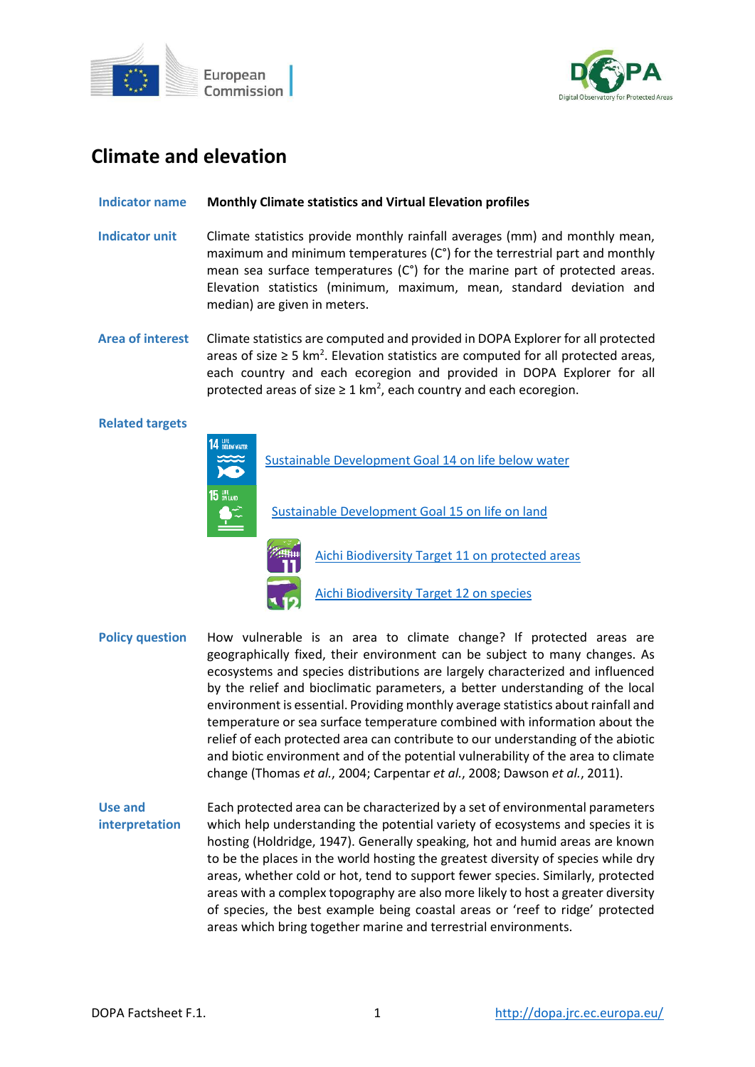



# **Climate and elevation**

## **Indicator name Monthly Climate statistics and Virtual Elevation profiles**

- **Indicator unit** Climate statistics provide monthly rainfall averages (mm) and monthly mean, maximum and minimum temperatures (C°) for the terrestrial part and monthly mean sea surface temperatures (C°) for the marine part of protected areas. Elevation statistics (minimum, maximum, mean, standard deviation and median) are given in meters.
- **Area of interest** Climate statistics are computed and provided in DOPA Explorer for all protected areas of size ≥ 5 km<sup>2</sup>. Elevation statistics are computed for all protected areas, each country and each ecoregion and provided in DOPA Explorer for all protected areas of size  $\geq 1$  km<sup>2</sup>, each country and each ecoregion.

## **Related targets**



- **Policy question** How vulnerable is an area to climate change? If protected areas are geographically fixed, their environment can be subject to many changes. As ecosystems and species distributions are largely characterized and influenced by the relief and bioclimatic parameters, a better understanding of the local environment is essential. Providing monthly average statistics about rainfall and temperature or sea surface temperature combined with information about the relief of each protected area can contribute to our understanding of the abiotic and biotic environment and of the potential vulnerability of the area to climate change (Thomas *et al.*, 2004; Carpentar *et al.*, 2008; Dawson *et al.*, 2011).
- **Use and interpretation** Each protected area can be characterized by a set of environmental parameters which help understanding the potential variety of ecosystems and species it is hosting (Holdridge, 1947). Generally speaking, hot and humid areas are known to be the places in the world hosting the greatest diversity of species while dry areas, whether cold or hot, tend to support fewer species. Similarly, protected areas with a complex topography are also more likely to host a greater diversity of species, the best example being coastal areas or 'reef to ridge' protected areas which bring together marine and terrestrial environments.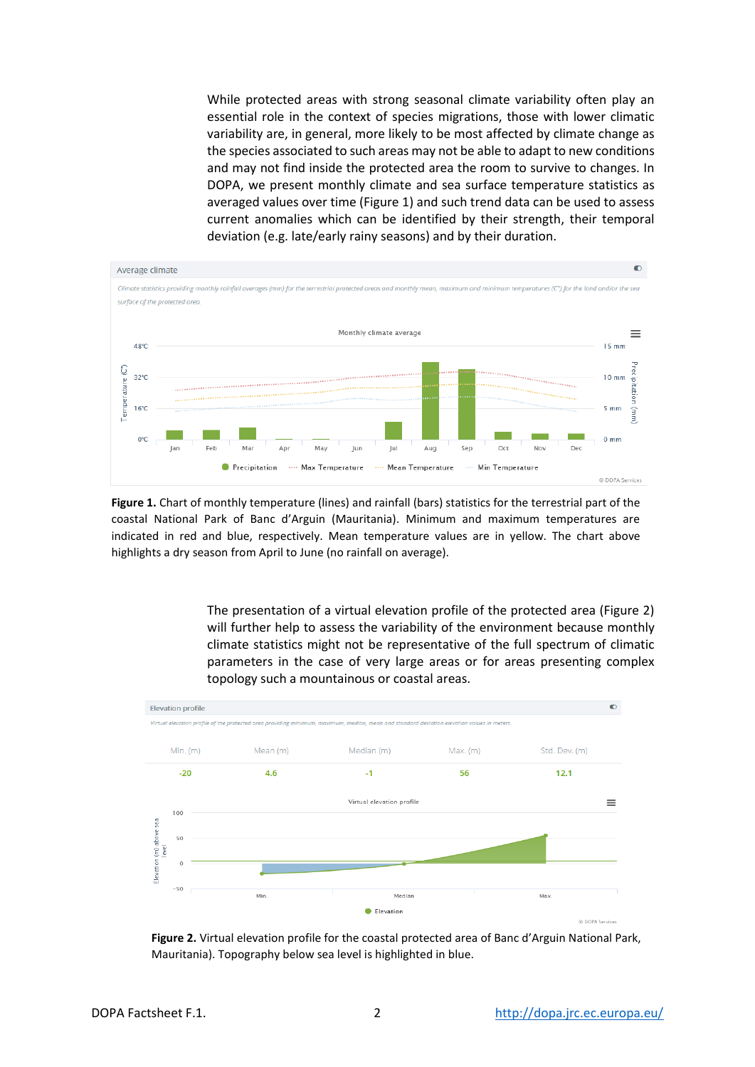While protected areas with strong seasonal climate variability often play an essential role in the context of species migrations, those with lower climatic variability are, in general, more likely to be most affected by climate change as the species associated to such areas may not be able to adapt to new conditions and may not find inside the protected area the room to survive to changes. In DOPA, we present monthly climate and sea surface temperature statistics as averaged values over time (Figure 1) and such trend data can be used to assess current anomalies which can be identified by their strength, their temporal deviation (e.g. late/early rainy seasons) and by their duration.



**Figure 1.** Chart of monthly temperature (lines) and rainfall (bars) statistics for the terrestrial part of the coastal National Park of Banc d'Arguin (Mauritania). Minimum and maximum temperatures are indicated in red and blue, respectively. Mean temperature values are in yellow. The chart above highlights a dry season from April to June (no rainfall on average).

> The presentation of a virtual elevation profile of the protected area (Figure 2) will further help to assess the variability of the environment because monthly climate statistics might not be representative of the full spectrum of climatic parameters in the case of very large areas or for areas presenting complex topology such a mountainous or coastal areas.



**Figure 2.** Virtual elevation profile for the coastal protected area of Banc d'Arguin National Park, Mauritania). Topography below sea level is highlighted in blue.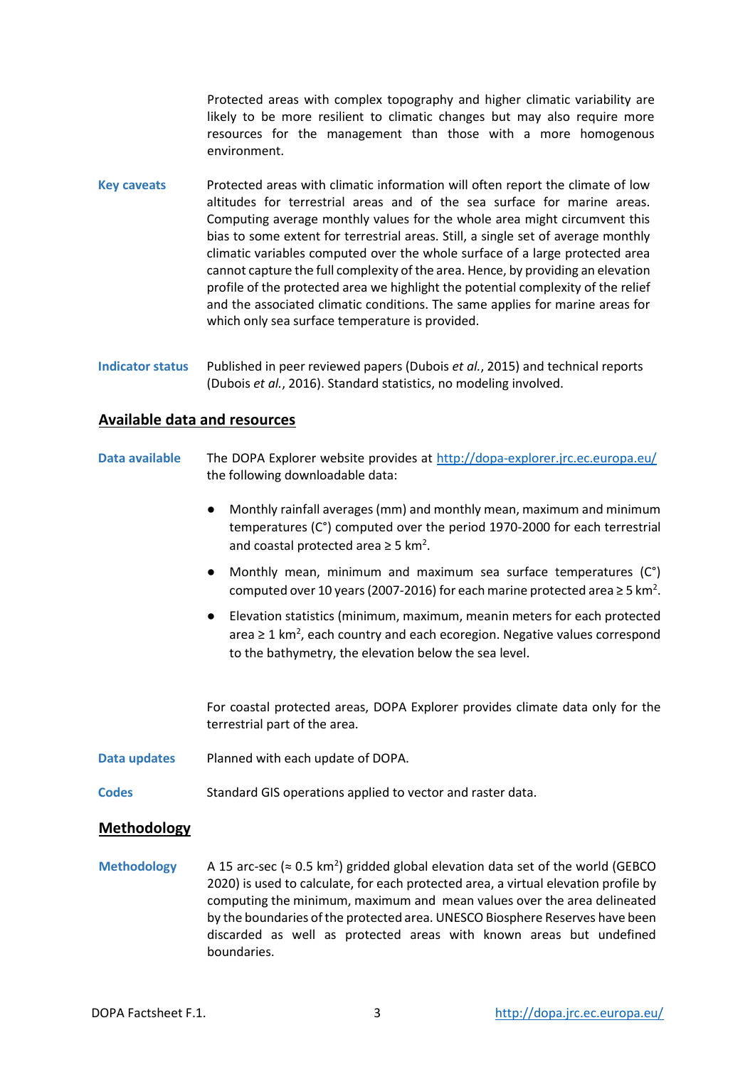Protected areas with complex topography and higher climatic variability are likely to be more resilient to climatic changes but may also require more resources for the management than those with a more homogenous environment.

- **Key caveats** Protected areas with climatic information will often report the climate of low altitudes for terrestrial areas and of the sea surface for marine areas. Computing average monthly values for the whole area might circumvent this bias to some extent for terrestrial areas. Still, a single set of average monthly climatic variables computed over the whole surface of a large protected area cannot capture the full complexity of the area. Hence, by providing an elevation profile of the protected area we highlight the potential complexity of the relief and the associated climatic conditions. The same applies for marine areas for which only sea surface temperature is provided.
- **Indicator status** Published in peer reviewed papers (Dubois *et al.*, 2015) and technical reports (Dubois *et al.*, 2016). Standard statistics, no modeling involved.

## **Available data and resources**

- **Data available** The DOPA Explorer website provides at<http://dopa-explorer.jrc.ec.europa.eu/> the following downloadable data:
	- Monthly rainfall averages (mm) and monthly mean, maximum and minimum temperatures (C°) computed over the period 1970-2000 for each terrestrial and coastal protected area  $\geq$  5 km<sup>2</sup>.
	- Monthly mean, minimum and maximum sea surface temperatures (C°) computed over 10 years (2007-2016) for each marine protected area  $\geq$  5 km<sup>2</sup>.
	- Elevation statistics (minimum, maximum, meanin meters for each protected area ≥ 1 km<sup>2</sup>, each country and each ecoregion. Negative values correspond to the bathymetry, the elevation below the sea level.

For coastal protected areas, DOPA Explorer provides climate data only for the terrestrial part of the area.

- **Data updates** Planned with each update of DOPA.
- **Codes** Standard GIS operations applied to vector and raster data.

## **Methodology**

Methodology  $A$  15 arc-sec ( $\approx$  0.5 km<sup>2</sup>) gridded global elevation data set of the world (GEBCO 2020) is used to calculate, for each protected area, a virtual elevation profile by computing the minimum, maximum and mean values over the area delineated by the boundaries of the protected area. UNESCO Biosphere Reserves have been discarded as well as protected areas with known areas but undefined boundaries.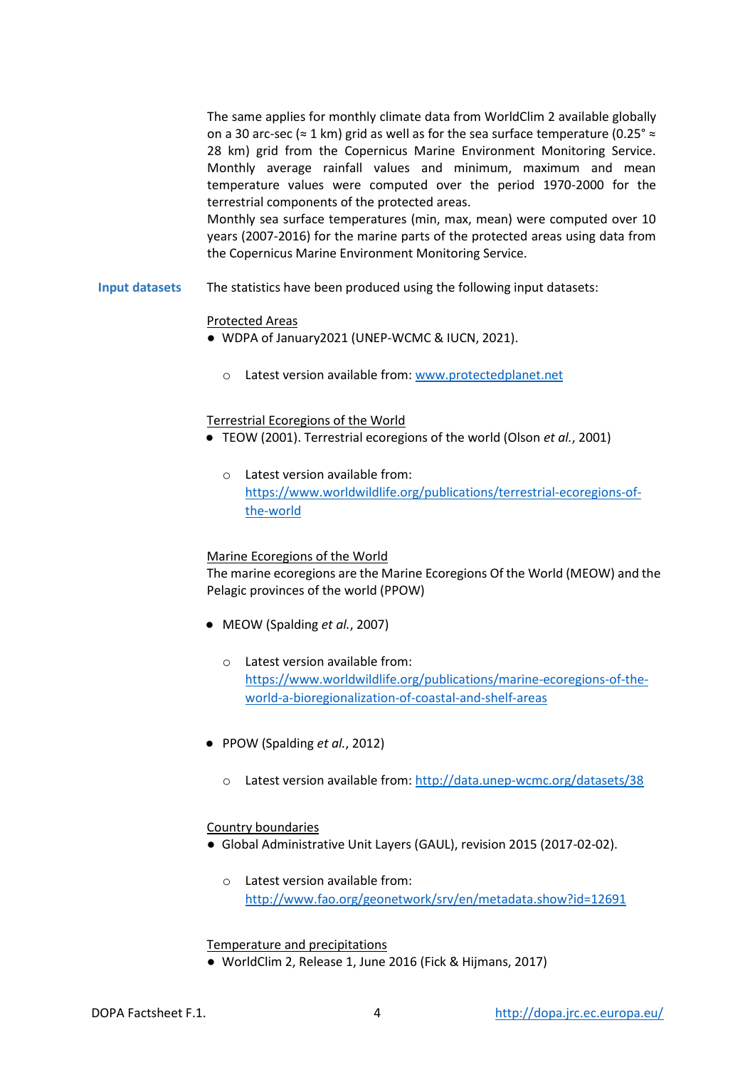The same applies for monthly climate data from WorldClim 2 available globally on a 30 arc-sec ( $\approx$  1 km) grid as well as for the sea surface temperature (0.25°  $\approx$ 28 km) grid from the Copernicus Marine Environment Monitoring Service. Monthly average rainfall values and minimum, maximum and mean temperature values were computed over the period 1970-2000 for the terrestrial components of the protected areas.

Monthly sea surface temperatures (min, max, mean) were computed over 10 years (2007-2016) for the marine parts of the protected areas using data from the Copernicus Marine Environment Monitoring Service.

**Input datasets** The statistics have been produced using the following input datasets:

#### Protected Areas

- WDPA of January2021 (UNEP-WCMC & IUCN, 2021).
	- o Latest version available from[: www.protectedplanet.net](http://www.protectedplanet.net/)

#### Terrestrial Ecoregions of the World

- TEOW (2001). Terrestrial ecoregions of the world (Olson *et al.*, 2001)
	- o Latest version available from: [https://www.worldwildlife.org/publications/terrestrial-ecoregions-of](https://www.worldwildlife.org/publications/terrestrial-ecoregions-of-the-world)[the-world](https://www.worldwildlife.org/publications/terrestrial-ecoregions-of-the-world)

#### Marine Ecoregions of the World

The marine ecoregions are the Marine Ecoregions Of the World (MEOW) and the Pelagic provinces of the world (PPOW)

- MEOW (Spalding *et al.*, 2007)
	- o Latest version available from: [https://www.worldwildlife.org/publications/marine-ecoregions-of-the](https://www.worldwildlife.org/publications/marine-ecoregions-of-the-world-a-bioregionalization-of-coastal-and-shelf-areas)[world-a-bioregionalization-of-coastal-and-shelf-areas](https://www.worldwildlife.org/publications/marine-ecoregions-of-the-world-a-bioregionalization-of-coastal-and-shelf-areas)
- PPOW (Spalding *et al.*, 2012)
	- o Latest version available from[: http://data.unep-wcmc.org/datasets/38](http://data.unep-wcmc.org/datasets/38)

#### Country boundaries

- Global Administrative Unit Layers (GAUL), revision 2015 (2017-02-02).
	- o Latest version available from: <http://www.fao.org/geonetwork/srv/en/metadata.show?id=12691>

#### Temperature and precipitations

● WorldClim 2, Release 1, June 2016 (Fick & Hijmans, 2017)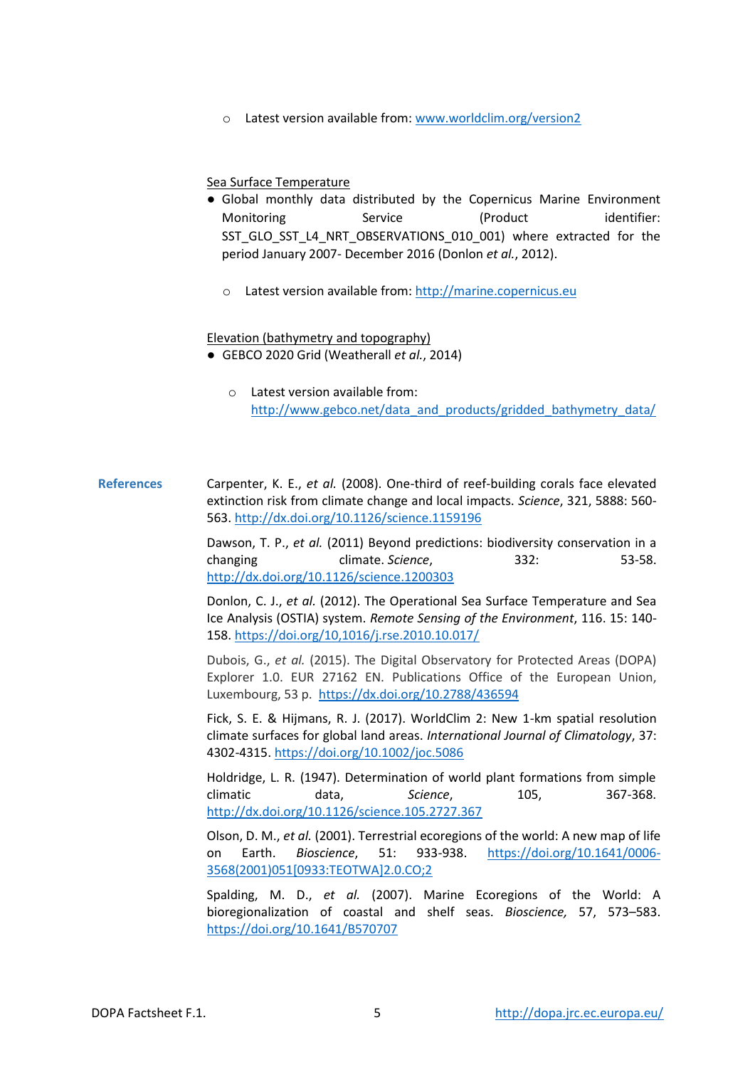o Latest version available from[: www.worldclim.org/version2](http://www.worldclim.org/version2)

## Sea Surface Temperature

- Global monthly data distributed by the Copernicus Marine Environment Monitoring Service (Product identifier: SST\_GLO\_SST\_L4\_NRT\_OBSERVATIONS\_010\_001) where extracted for the period January 2007- December 2016 (Donlon *et al.*, 2012).
	- o Latest version available from[: http://marine.copernicus.eu](http://marine.copernicus.eu/)

#### Elevation (bathymetry and topography)

- GEBCO 2020 Grid (Weatherall *et al.*, 2014)
	- o Latest version available from: [http://www.gebco.net/data\\_and\\_products/gridded\\_bathymetry\\_data/](https://www.gebco.net/data_and_products/gridded_bathymetry_data/)

## **References** Carpenter, K. E., *et al.* (2008). One-third of reef-building corals face elevated extinction risk from climate change and local impacts. *Science*, 321, 5888: 560- 563.<http://dx.doi.org/10.1126/science.1159196>

Dawson, T. P., *et al.* (2011) Beyond predictions: biodiversity conservation in a changing climate. *Science*, 332: 53-58. <http://dx.doi.org/10.1126/science.1200303>

Donlon, C. J., *et al.* (2012). The Operational Sea Surface Temperature and Sea Ice Analysis (OSTIA) system. *Remote Sensing of the Environment*, 116. 15: 140- 158.<https://doi.org/10,1016/j.rse.2010.10.017/>

Dubois, G., *et al.* (2015). The Digital Observatory for Protected Areas (DOPA) Explorer 1.0. EUR 27162 EN. Publications Office of the European Union, Luxembourg, 53 p. <https://dx.doi.org/10.2788/436594>

Fick, S. E. & Hijmans, R. J. (2017). WorldClim 2: New 1-km spatial resolution climate surfaces for global land areas. *International Journal of Climatology*, 37: 4302-4315.<https://doi.org/10.1002/joc.5086>

Holdridge, L. R. (1947). Determination of world plant formations from simple climatic data, *Science*, 105, 367-368. <http://dx.doi.org/10.1126/science.105.2727.367>

Olson, D. M., *et al.* (2001). Terrestrial ecoregions of the world: A new map of life on Earth. *Bioscience*, 51: 933-938. [https://doi.org/10.1641/0006-](https://doi.org/10.1641/0006-3568(2001)051%5b0933:TEOTWA%5d2.0.CO;2) [3568\(2001\)051\[0933:TEOTWA\]2.0.CO;2](https://doi.org/10.1641/0006-3568(2001)051%5b0933:TEOTWA%5d2.0.CO;2) 

Spalding, M. D., *et al.* (2007). Marine Ecoregions of the World: A bioregionalization of coastal and shelf seas. *Bioscience,* 57, 573–583. <https://doi.org/10.1641/B570707>